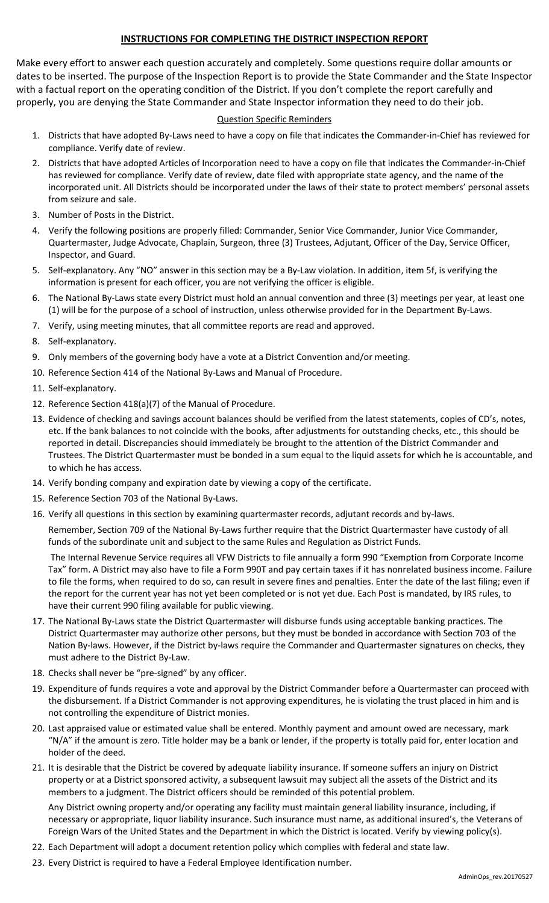## **INSTRUCTIONS FOR COMPLETING THE DISTRICT INSPECTION REPORT**

Make every effort to answer each question accurately and completely. Some questions require dollar amounts or dates to be inserted. The purpose of the Inspection Report is to provide the State Commander and the State Inspector with a factual report on the operating condition of the District. If you don't complete the report carefully and properly, you are denying the State Commander and State Inspector information they need to do their job.

## Question Specific Reminders

- 1. Districts that have adopted By-Laws need to have a copy on file that indicates the Commander-in-Chief has reviewed for compliance. Verify date of review.
- 2. Districts that have adopted Articles of Incorporation need to have a copy on file that indicates the Commander-in-Chief has reviewed for compliance. Verify date of review, date filed with appropriate state agency, and the name of the incorporated unit. All Districts should be incorporated under the laws of their state to protect members' personal assets from seizure and sale.
- 3. Number of Posts in the District.
- 4. Verify the following positions are properly filled: Commander, Senior Vice Commander, Junior Vice Commander, Quartermaster, Judge Advocate, Chaplain, Surgeon, three (3) Trustees, Adjutant, Officer of the Day, Service Officer, Inspector, and Guard.
- 5. Self-explanatory. Any "NO" answer in this section may be a By-Law violation. In addition, item 5f, is verifying the information is present for each officer, you are not verifying the officer is eligible.
- 6. The National By-Laws state every District must hold an annual convention and three (3) meetings per year, at least one (1) will be for the purpose of a school of instruction, unless otherwise provided for in the Department By-Laws.
- 7. Verify, using meeting minutes, that all committee reports are read and approved.
- 8. Self-explanatory.
- 9. Only members of the governing body have a vote at a District Convention and/or meeting.
- 10. Reference Section 414 of the National By-Laws and Manual of Procedure.
- 11. Self-explanatory.
- 12. Reference Section 418(a)(7) of the Manual of Procedure.
- 13. Evidence of checking and savings account balances should be verified from the latest statements, copies of CD's, notes, etc. If the bank balances to not coincide with the books, after adjustments for outstanding checks, etc., this should be reported in detail. Discrepancies should immediately be brought to the attention of the District Commander and Trustees. The District Quartermaster must be bonded in a sum equal to the liquid assets for which he is accountable, and to which he has access.
- 14. Verify bonding company and expiration date by viewing a copy of the certificate.
- 15. Reference Section 703 of the National By-Laws.
- 16. Verify all questions in this section by examining quartermaster records, adjutant records and by-laws.

Remember, Section 709 of the National By-Laws further require that the District Quartermaster have custody of all funds of the subordinate unit and subject to the same Rules and Regulation as District Funds.

The Internal Revenue Service requires all VFW Districts to file annually a form 990 "Exemption from Corporate Income Tax" form. A District may also have to file a Form 990T and pay certain taxes if it has nonrelated business income. Failure to file the forms, when required to do so, can result in severe fines and penalties. Enter the date of the last filing; even if the report for the current year has not yet been completed or is not yet due. Each Post is mandated, by IRS rules, to have their current 990 filing available for public viewing.

- 17. The National By-Laws state the District Quartermaster will disburse funds using acceptable banking practices. The District Quartermaster may authorize other persons, but they must be bonded in accordance with Section 703 of the Nation By-laws. However, if the District by-laws require the Commander and Quartermaster signatures on checks, they must adhere to the District By-Law.
- 18. Checks shall never be "pre-signed" by any officer.
- 19. Expenditure of funds requires a vote and approval by the District Commander before a Quartermaster can proceed with the disbursement. If a District Commander is not approving expenditures, he is violating the trust placed in him and is not controlling the expenditure of District monies.
- 20. Last appraised value or estimated value shall be entered. Monthly payment and amount owed are necessary, mark "N/A" if the amount is zero. Title holder may be a bank or lender, if the property is totally paid for, enter location and holder of the deed.
- 21. It is desirable that the District be covered by adequate liability insurance. If someone suffers an injury on District property or at a District sponsored activity, a subsequent lawsuit may subject all the assets of the District and its members to a judgment. The District officers should be reminded of this potential problem.

Any District owning property and/or operating any facility must maintain general liability insurance, including, if necessary or appropriate, liquor liability insurance. Such insurance must name, as additional insured's, the Veterans of Foreign Wars of the United States and the Department in which the District is located. Verify by viewing policy(s).

- 22. Each Department will adopt a document retention policy which complies with federal and state law.
- 23. Every District is required to have a Federal Employee Identification number.